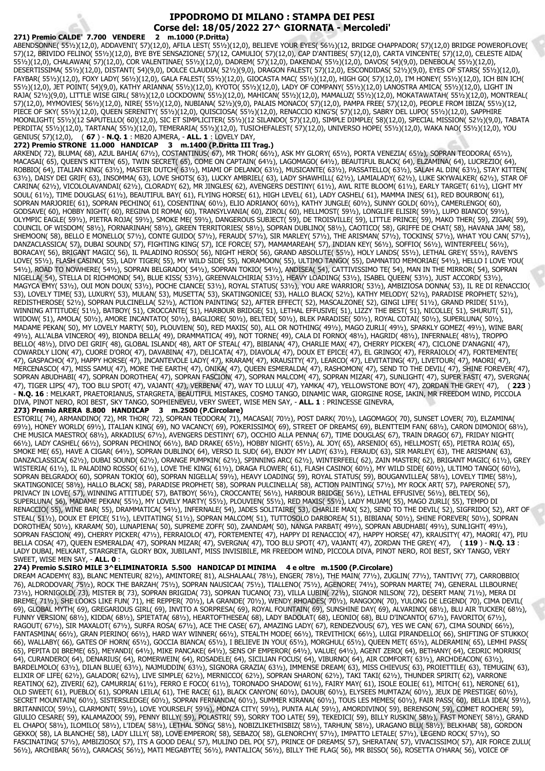# **IPPODROMO DI MILANO : STAMPA DEI PESI Corse del: 18/05/2022 27^ GIORNATA - Mercoledi'**

271) Premio CALDE' 7.700 VENDERE ABENDSONNE( 55½)(12,0), ADDAVENI'( 57)(12,0), AFILA LEST( 55½)(12,0), BELIEVE YOUR EYES( 56½)(12, BRIDGE CHAPPADOR( 57)(12,0) BRIDGE POWEROFLOVE( 57)(12, BRIVIDO FELINO( 55½)(12,0), BYE BYE SENSAZIONE( 57)(12, CAMULIO( 57)(12,0), CAP D'ANTIBES( 57)(12,0), CARTA VINCENTE( 57)(12,0), CELESTE AIDA( 55½)(12,0), CHALAWAN( 57)(12,0), COR VALENTINAE( 55½)(12,0), DADREM( 57)(12,0), DAKENDA( 55½)(12,0), DAVOS( 54)(9,0), DENEBOLA( 55½)(12,0), DESERTISSIMA( 55½)(12,0), DISTANT( 54)(9,0), DOLCE CLAUDIA( 52½)(9,0), DRAGON FALEST( 57)(12,0), ESCONDIDAS( 52½)(9,0), EYES OF STARS( 55½)(12,0), FAYBAR( 55½)(12,0), FOXY LADY( 56½)(12,0), GALA FALEST( 55½)(12,0), GIOCASTA MAC( 55½)(12,0), HIGH GO( 57)(12,0), I'M HONEY( 55½)(12,0), ICH BIN ICH( 55½)(12,0), JET POINT( 54)(9,0), KATHY ARIANNA( 55½)(12,0), KYOTO( 55½)(12,0), LADY OF COMPANY( 55½)(12,0) LANOSTRA AMICA( 55½)(12,0), LIGHT IN RAJA( 52½)(9,0), LITTLE WISE GIRL( 58½)(12,0 LOCKDOWN( 55½)(12,0), MAHICAN( 55½)(12,0), MAMALUZ( 55½)(12,0), MOKATAWATAH( 55½)(12,0), MONTREAL( 57)(12,0), MYMOVIES( 56½)(12,0), NIRE( 55½)(12,0), NUBIANA( 52½)(9,0), PALAIS MONACO( 57)(12,0), PAMPA FREE( 57)(12,0), PEOPLE FROM IBIZA( 55½)(12, PIECE OF SKY( 55½)(12,0), QUEEN SERENITY( 55½)(12,0), QUISCIOSA( 55½)(12,0), RENACCIO KING'S( 57)(12,0), SABRY DEL LUPO( 55½)(12,0), SAPPHIRE MOONLIGHT( 55½)(12 SAPUTELLO( 60)(12,0), SIC ET SIMPLICITER( 55½)(12 SILANDO( 57)(12,0), SIMPLE DIMPLE( 58)(12,0), SPECIAL MISSION( 52½)(9,0), TABATA PERDITA( 55½)(12,0), TARTANA( 55½)(12,0), TEMERARIA( 55½)(12,0), TUSICHEFALEST( 57)(12,0), UNIVERSO HOPE( 55½)(12,0), WAKA NAO( 55½)(12,0), YOU GENIUS( 57)(12,0), ( **67** ) - **N.Q. 1** : MB20 AJMERA, - **ALL. 1** : LOVELY DAY,

## **272) Premio STRONE 11.000 HANDICAP 3 m.1400 (P.Dritta III Trag.)**

ARKEND( 72), BLUMA( 68), AZUL BAHIA( 67½), COSTANTINUS( 67), MR THOR( 66½), ASK MY GLORY( 65½), PORTA VENEZIA( 65½), SOPRAN TEODORA( 65½), MACASAI( 65), QUEEN'S KITTEN( 65), TWIN SECRET( 65), COME ON CAPTAIN( 64½), LAGOMAGO( 64½), BEAUTIFUL BLACK( 64), ELZAMINA( 64), LUCREZIO( 64), ROBBIO( 64), ITALIAN KING( 63½), MASTER DUTCH( 63½), MIAMI OF DELANO( 63½), MUSICANTE( 63½), PASSATELLO( 63½), SALAH AL DIN( 63½), STAY KITTEN( 63½), DAISY DEI GRIF( 63), INSOMMA( 63), LOVE SHOTS( 63), LUCKY AMBRIEL( 63), LADY SHAWHILL( 62½), LAMIALADY( 62½), LUKE SKYWALKER( 62½), STAR OF CARINA( 62½), VICOLOLAVANDAI( 62½), CLORADY( 62), MR JINGLES( 62), AVENGERS DESTINY( 61½), AWL RITE BLOOM( 61½), EARLY TARGET( 61½), LIGHT MY SOUL( 61½), TIME DOUGLAS( 61½), BEAUTIFUL BAY( 61), FLYING HORSE( 61), HIGH LEVEL( 61), LADY CASHEL( 61), MAMMA INES( 61), RED BOURBON( 61), SOPRAN MARJORIE( 61), SOPRAN PECHINO( 61), COSENTINA( 601/2), ELIO ADRIANO( 601/2), KATHY JUNGLE( 601/2), SUNNY GOLD( 601/2), CAMERLENGO( 60), GODSAVE( 60), HOBBY NIGHT( 60), REGINA DI ROMA( 60), TRANSYLVANIA( 60), ZIROL( 60), HELLMOST( 591/2), LONGLIFE ELISIR( 591/2), LUPO BIANCO( 591/2), OLYMPIC EAGLE( 59½), PIETRA ROJA( 59½), SMOKE ME( 59½), DANGEROUS SUBJECT( 59), DE TROISVILLE( 59), LITTLE PRINCE( 59), MAKO THER( 59), ZIGAR( 59), COUNCIL OF WISDOM( 58½), FORNARINAH( 58½), GREEN TERRITORIES( 58½), SOPRAN DUBLINO( 58½), CAOTICO( 58), GRIFFE DE CHAT( 58), HAVANA JAM( 58), SHEMOON( 58), BELLO E MONELLO( 571/2), CONTE GUIDO( 571/2), FERAUD( 571/2), SIR MARLEY( 571/2), THE ARISMAN( 571/2), TOCKINS( 571/2), WHAT YOU CAN( 571/2), DANZACLASSICA( 57), DUBAI SOUND( 57), FIGHTING KING( 57), ICE FORCE( 57), MAMAMAREAH( 57), INDIAN KEY( 56½), SOFFIO( 56½), WINTERFEEL( 56½), BORACAY( 56), BRIGANT MAGIC( 56), IL PALADINO ROSSO( 56), NIGHT HERO( 56), GRAND ABSOLUTE( 55½), HOLY LANDS( 55½), LETHAL GREY( 55½), RAVEN'S LOVE( 55½), FLASH CASINO( 55), LADY TIGER( 55), MY WILD SIDE( 55), NORAMOON( 55), ULTIMO TANGO( 55), DAMNATIO MEMORIAE( 54½), HELLO I LOVE YOU( 54½), ROAD TO NOWHERE( 54½), SOPRAN BELGRADO( 54½), SOPRAN TOKIO( 54½), ANDISEA( 54), CATTIVISSIMO TE( 54), MAN IN THE MIRROR( 54), SOPRAN NIGELLA( 54), STELLA DI RICHMOND( 54), BLUE KISS( 53½), GREENVALCHIRIA( 53½), HEAVY LOADING( 53½), ISABEL QUEEN( 53½), JUST ACCORD( 53½), MAGYCA EMY( 53½), OUI MON DOUX( 53½), POCHE CIANCE( 53½), ROYAL STATUS( 53½), YOU ARE WARRIOR( 53½), AMBIZIOSA DONNA( 53), IL RE DI RENACCIO( 53), LOVELY TIME( 53), LUXURY( 53), MULAN( 53), MUSETTA( 53), SKATINGONICE( 53), HALLO BLACK( 52½), KATHY MELODY( 52½), PARADISE PROPHET( 52½), REDISTHEROSE( 52½), SOPRAN PULCINELLA( 52½), ACTION PAINTING( 52), AFTER EFFECT( 52), MASCALZONE( 52), GINGI LIFE( 51½), GRAND PRIDE( 51½), WINNING ATTITUDE( 51½), BATBOY( 51), CROCCANTE( 51), HARBOUR BRIDGE( 51), LETHAL EFFUSIVE( 51), LIZZY THE BEST( 51), NICOLLE( 51), SHURUT( 51), WIDOW( 51), AMOLA( 50½), AMORE INCANTATO( 50½), BAGLIORE( 50½), BELTED( 50½), BLEK PARADISE( 50½), ROYAL COTAI( 50½), SUPERLUNA( 50½), MADAME PEKAN( 50), MY LOVELY MARTY( 50), PLOUVIEN( 50), RED MAXIS( 50), ALL OR NOTHING( 49½), MAGO ZURLI( 49½), SPARKLY GOMEZ( 49½), WINE BAR( 49½), ALL'ALBA VINCERO( 49), BIONDA BELLA( 49), DRAMMATICA( 49), NOT TORNE( 49), CALA DI FORNO( 48½), HAGRID( 48½), INFERNALE( 48½), TROPPO BELLO( 48½), DIVO DEI GRIF( 48), GLOBAL ISLAND( 48), ART OF STEAL( 47), BIBIANA( 47), CHARLIE MAX( 47), CHERRY PICKER( 47), CICLONE D'ANAGNI( 47), COWARDLY LION( 47), CUORE D'ORO( 47), DAVABINA( 47), DELICATA( 47), DIAVOLA( 47), DOUX ET EPICE( 47), EL GRINGO( 47), FERRAIOLO( 47), FORTEMENTE( 47), GASPACHO( 47), HAPPY HORSE( 47), INCANTEVOLE LADY( 47), KRARAM( 47), KRAUSITY( 47), LEARCO( 47), LEVITATING( 47), LIVETOUR( 47), MAORI( 47), MERCENASCO( 47), MISS SAMU( 47), MORE THE EARTH( 47), ONIKA( 47), QUEEN ESMERALDA( 47), RASHOMON( 47), SEND TO THE DEVIL( 47), SHINE FOREVER( 47), SOPRAN ABUDHABI( 47), SOPRAN DOROTHEA( 47), SOPRAN FASCION( 47), SOPRAN MALCOM( 47), SOPRAN MIZAR( 47), SUNLIGHT( 47), SUPER FAST( 47), SVERGNA( 47), TIGER LIPS( 47), TOO BLU SPOT( 47), VAJANT( 47), VERBENA( 47), WAY TO LULU( 47), YAMKA( 47), YELLOWSTONE BOY( 47), ZORDAN THE GREY( 47), ( **223** ) - **N.Q. 16** : MELKART, PRAETORIANUS, STARGRETA, BEAUTIFUL MISTAKES, COSMO TANGO, DINAMIC WAR, GIORGINE ROSE, IAKIN, MR FREEDOM WIND, PICCOLA DIVA, PINOT NERO, ROI BEST, SKY TANGO, SOPHIENEVEU, VERY SWEET, WISE MEN SAY, - **ALL. 1** : PRINCESSE GINEVRA,

#### **273) Premio ARERA 8.800 HANDICAP 3 m.2500 (P.Circolare)**

ESTORIL( 74), ARMANDINO( 72), MR THOR( 72), SOPRAN TEODORA( 71), MACASAI( 70½), POST DARK( 70½), LAGOMAGO( 70), SUNSET LOVER( 70), ELZAMINA( 69½), HONEY WORLD( 69½), ITALIAN KING( 69), NO VACANCY( 69), POKERISSIMO( 69), STREET OF DREAMS( 69), BLENTTEIM FAN( 68½), CARON DIMONIO( 68½), CHE MUSICA MAESTRO( 68½), ARKADIUS( 67½), AVENGERS DESTINY( 67), OCCHIO ALLA PENNA( 67), TIME DOUGLAS( 67), TRAIN DRAGO( 67), FRIDAY NIGHT( 66½), LADY CASHEL( 66½), SOPRAN PECHINO( 66½), BAD DRAKE( 65½), HOBBY NIGHT( 65½), AL JOY( 65), ARSENIO( 65), HELLMOST( 65), PIETRA ROJA( 65), SMOKE ME( 65), HAVE A CIGAR( 64½), SOPRAN DUBLINO( 64), VERSO IL SUD( 64), ENJOY MY LADY( 63½), FERAUD( 63), SIR MARLEY( 63), THE ARISMAN( 63), DANZACLASSICA( 62½), DUBAI SOUND( 62½), ORANGE PUMPKIN( 62½), SPINNING ARC( 62½), WINTERFEEL( 62), ZAIN MASTER( 62), BRIGANT MAGIC( 61½), GREY WISTERIA( 61½), IL PALADINO ROSSO( 61½), LOVE THE KING( 61½), DRAGA FLOWER( 61), FLASH CASINO( 60½), MY WILD SIDE( 60½), ULTIMO TANGO( 60½), SOPRAN BELGRADO( 60), SOPRAN TOKIO( 60), SOPRAN NIGELLA( 59½), HEAVY LOADING( 59), ROYAL STATUS( 59), BOUGANVILLEA( 58½), LOVELY TIME( 58½), SKATINGONICE( 58½), HALLO BLACK( 58), PARADISE PROPHET( 58), SOPRAN PULCINELLA( 58), ACTION PAINTING( 57½), MY ROCK ART( 57), PAPERONE( 57), PRIVACY IN LOVE( 57), WINNING ATTITUDE( 57), BATBOY( 56½), CROCCANTE( 56½), HARBOUR BRIDGE( 56½), LETHAL EFFUSIVE( 56½), BELTED( 56), SUPERLUNA( 56), MADAME PEKAN( 55½), MY LOVELY MARTY( 55½), PLOUVIEN( 55½), RED MAXIS( 55½), LADY MUJAM( 55), MAGO ZURLI( 55), TEMPO DI RENACCIO( 55), WINE BAR( 55), DRAMMATICA( 54½), INFERNALE( 54), JADES SOLITAIRE( 53), CHARLIE MAX( 52), SEND TO THE DEVIL( 52), SIGFRIDO( 52), ART OF STEAL( 51½), DOUX ET EPICE( 51½), LEVITATING( 51½), SOPRAN MALCOM( 51), TUTTOSOLO DARBOREA( 51), BIBIANA( 50½), SHINE FOREVER( 50½), SOPRAN DOROTHEA( 50½), KRARAM( 50), LUNAPIENA( 50), SUPREME ZOFF( 50), ZAANDAM( 50), NANGA PARBAT( 49½), SOPRAN ABUDHABI( 49½), SUNLIGHT( 49½), SOPRAN FASCION( 49), CHERRY PICKER( 471/2), FERRAIOLO( 47), FORTEMENTE( 47), HAPPY DI RENACCIO( 47), HAPPY HORSE( 47), KRAUSITY( 47), MAORI( 47), PIU BELLA COSA( 47), QUEEN ESMERALDA( 47), SOPRAN MIZAR( 47), SVERGNA( 47), TOO BLU SPOT( 47), VAJANT( 47), ZORDAN THE GREY( 47), ( **119** ) - **N.Q. 13** : LADY DUBAI, MELKART, STARGRETA, GLORY BOX, JUBILANT, MISS INVISIBILE, MR FREEDOM WIND, PICCOLA DIVA, PINOT NERO, ROI BEST, SKY TANGO, VERY SWEET, WISE MEN SAY, - **ALL. 0** :

**274) Premio S.SIRO MILE 3^ELIMINATORIA 5.500 HANDICAP DI MINIMA 4 e oltre m.1500 (P.Circolare)**

DREAM ACADEMY( 83), BLANC MENTEUR( 82½), AMINTORE( 81), ALSHALAAL( 78½), ENGER( 78½), THE MAIN( 77½), ZUGLIN( 77½), TANTIVY( 77), CARROBBIO( 76), ALDRODOVAR( 75½), ROCK THE BARZAH( 75½), SOPRAN NAUSICAA( 75½), TIALLENO( 75½), AGENORE( 74½), SOPRAN MARTE( 74), GENERAL LILBOURNE( 73½), HORNIGOLD( 73), MISTER B( 73), SOPRAN BRIGIDA( 73), SOPRAN TUCANO( 73), VILLA LUBIN( 72½), SIGNOR NILSON( 72), DESERT MAN( 71½), MERA DI BREME( 71½), SHE LOOKS LIKE FUN( 71), HE REPPER( 70½), LA GRANDE( 70½), WENDY RHOADES( 70½), RANGOON( 70), YULONG DE LEGEND( 70), CIMA DEVIL( 69), GLOBAL MYTH( 69), GREGARIOUS GIRL( 69), INVITO A SORPRESA( 69), ROYAL FOUNTAIN( 69), SUNSHINE DAY( 69), ALVARINO( 68½), BLU AIR TUCKER( 68½), FUNNY VERSION( 68½), KIDDA( 68½), SPIETATA( 68½), HEARTOFTHESEA( 68), LADY BADOLAT( 68), LEONIO( 68), BLU D'INCANTO( 67½), FAVORITO( 67½), RAGOUT( 67½), SIR MAXALOT( 67½), SURFA ROSA( 67½), ACE THE CASE( 67), AMAZING LADY( 67), RENDEZVOUS( 67), YES WE CAN( 67), CIMA SOUND( 66½), FANTASMINA( 66½), GRAN PIERINO( 66½), HARD WAY WINNER( 66½), STEALTH MODE( 66½), TREVITHICK( 66½), LUIGI PIRANDELLO( 66), SHIFTING OF STUKKO( 66), WALLABY( 66), GATES OF HORN( 65½), GOCCIA BIANCA( 65½), I BELIEVE IN YOU( 65½), MORGHUL( 65½), QUEEN MET( 65½), ALDERAMIN( 65), LEMHI PASS( 65), PEPITA DI BREME( 65), MEYANDI( 64½), MIKE PANCAKE( 64½), SENS OF EMPEROR( 64½), VALUE( 64½), AGENT ZERO( 64), BETHANY( 64), CEDRIC MORRIS( 64), CURANDERO( 64), DENARIUS( 64), ROMERWEIN( 64), ROSADELE( 64), SICILIAN FOCUS( 64), VIBURNO( 64), AIR COMFORT( 63½), ARCHDEACON( 63½), BARDELMOLO( 63½), DILAN BLUE( 63½), NAJMUDDIN( 63½), SIGNORA GRAZIA( 63½), IMMENSE DREAM( 63), MISS CHIEVUS( 63), PROIETTILE( 63), TEMUGIN( 63), ELIXIR OF LIFE( 62½), GALADOR( 62½), LIVE SIMPLE( 62½), MERNICCO( 62½), SOPRAN SHARON( 62½), TAKI TAKI( 62½), THUNDER SPIRIT( 62), VARRONE REATINO( 62), ZIVERI( 62), CAMURRIA( 61½), FERRO E FOCO( 61½), TORONADO SHADOW( 61½), FAIRY MAY( 61), ISOLE EOLIE( 61), MITCH( 61), NERONE( 61), OLD SWEET( 61), PUEBLO( 61), SOPRAN LEILA( 61), THE RACE( 61), BLACK CANYON( 60½), DAOUB( 60½), ELYSEES MUMTAZA( 60½), JEUX DE PRESTIGE( 60½), SECRET MOUNTAIN( 60½), SISTERSLEDGE( 60½), SOPRAN FERNANDA( 60½), SUMMER KIRANA( 60½), TOUS LES MEMES( 60½), FAIR PASS( 60), BELLA IDEA( 59½), BRITANNICO( 59½), CLARMONT( 59½), LOVE YOURSELF( 59½), MONZA CITY( 59½), PUNTA ALA( 59½), AMORDIVINO( 59), BERENSON( 59), COMET ROCHER( 59), GIULIO CESARE( 59), KALAMAZOO( 59), PENNY BILLY( 59), POLASTRI( 59), SORRY TOO LATE( 59), TEKEDICI( 59), BILLY RUSKIN( 58½), FAST MONEY( 58½), GRAND EL CHAPO( 58½), ILOMILO( 58½), L'IDEA( 58½), LETHAL SONG( 58½), NOBIZLIKETHISBIZ( 58½), TARHUN( 58½), URAGANO BLU( 58½), BELKHAB( 58), GORDON GEKKO( 58), LA BLANCHE( 58), LADY LILLY( 58), LOVE EMPEROR( 58), SEBAZO( 58), GLENORCHY( 57½), IMPATTO LETALE( 57½), LEGEND ROCK( 57½), SO FASCINATING( 57½), AMBIZIOSO( 57), ITS A GOOD DEAL( 57), MULINO DEL PO( 57), PRINCE OF DREAMS( 57), SHERATAN( 57), VIVACISSIMO( 57), AIR FORCE ZULU( 56½), ARCHIBAR( 56½), CARACAS( 56½), MATI MEGABYTE( 56½), PANTALICA( 56½), BILLY THE FLAG( 56), MR BISSO( 56), ROSETTA O'HARA( 56), VOICE OF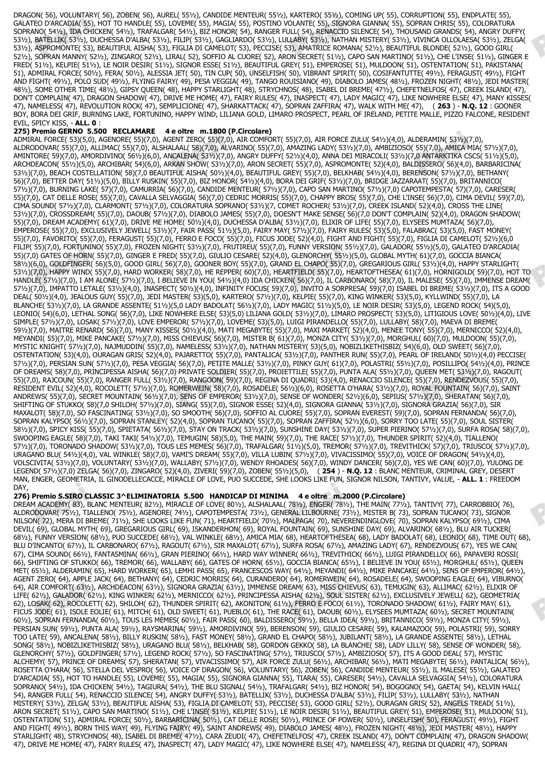DRAGON( 56), VOLUNTARY( 56), ZOBEN( 56), AUREL( 55½), CANDIDE MENTEUR( 55½), KARTERO( 55½), COMING UP( 55), CORRUPTION( 55), ENDPLATE( 55), GALATEO D'ARCADIA( 55), HOT TO HANDLE( 55), LOVEME( 55), MAGIA( 55), POSTINO VOLANTE( 55), SIGNORA GIANNA( 55), SOPRAN CHRIS( 55), COLORATURA SOPRANO( 54½), IDA CHICKEN( 54½), TRAFALGAR( 54½), BIZ HONOR( 54), RANGER FULL( 54), RENACCIO SILENCE( 54), THOUSAND GRANDS( 54), ANGRY DUFFY( 53½), BATELLIK( 53½), DUCHESSA D'ALBA( 53½), FILIP( 53½), GAGLIARDO( 53½), LULLABY( 53½), NATHAN MISTERY( 53½), VIVINCA OLLOLAESA( 53½), ZELGA( 53½), ASPROMONTE( 53), BEAUTIFUL AISHA( 53), FIGLIA DI CAMELOT( 53), PECCISE( 53), AMATRICE ROMANA( 52½), BEAUTIFUL BLONDE( 52½), GOOD GIRL( 52½), SOPRAN MANNY( 52½), ZINGARO( 52½), LIRAL( 52), SOFFIO AL CUORE( 52), ARON SECRET( 51½), CAPO SAN MARTINO( 51½), CHE L'INSE( 51½), GINGER E FRED( 51½), KELPIE( 51½), LE NOIR DESIR( 51½), SIGNOR ESSE( 51½), BEAUTIFUL GREY( 51), EMPEROSE( 51), MULDOON( 51), OSTENTATION( 51), PAKISTANA( 51), ADMIRAL FORCE( 50½), FERA( 50½), ALESSIA JET( 50), TIN CUP( 50), UNSELFISH( 50), VIBRANT SPIRIT( 50), COSIFANTUTTE( 49½), FERAGUST( 49½), FIGHT AND FIGHT( 49½), POLO SUD( 49½), FLYING FAIRY( 49), PESA VEGGIA( 49), TANGO ROUISIANO( 49), DIABOLO JAMES( 48½), FROZEN NIGHT( 48½), JEDI MASTER( 48½), SOME OTHER TIME( 48½), GIPSY QUEEN( 48), HAPPY STARLIGHT( 48), STRYCHNOS( 48), ISABEL DI BREME( 47½), CHEFETNELFOS( 47), CREEK ISLAND( 47), DON'T COMPLAIN( 47), DRAGON SHADOW( 47), DRIVE ME HOME( 47), FAIRY RULES( 47), INASPECT( 47), LADY MAGIC( 47), LIKE NOWHERE ELSE( 47), MANY KISSES( 47), NAMELESS( 47), REVOLUTION ROCK( 47), SEMPLICIONE( 47), SHARKATTACK( 47), SOPRAN ZAFFIRA( 47), WALK WITH ME( 47), ( **263** ) - **N.Q. 12** : GOONER BOY, BORA DEI GRIF, BURNING LAKE, FORTUNINO, HAPPY WIND, LILIANA GOLD, LIMARO PROSPECT, PEARL OF IRELAND, PETITE MALLE, PIZZO FALCONE, RESIDENT EVIL, SPICY KISS, - **ALL. 0** :

#### **275) Premio GERNO 5.500 RECLAMARE 4 e oltre m.1800 (P.Circolare)**

ADMIRAL FORCE( 53)(5,0), AGENORE( 55)(7,0), AGENT ZERO( 55)(7,0), AIR COMFORT( 55)(7,0), AIR FORCE ZULU( 54½)(4,0), ALDERAMIN( 53½)(7,0), ALDRODOVAR( 55)(7,0), ALLIMAC( 55)(7,0), ALSHALAAL( 58)(7,0), ALVARINO( 55)(7,0), AMAZING LADY( 53½)(7,0), AMBIZIOSO( 55)(7,0), AMICA MIA( 57½)(7,0), AMINTORE( 59)(7,0), AMORDIVINO( 56½)(6,0), ANCALENA( 53½)(7,0), ANGRY DUFFY( 52½)(4,0), ANNA DEI MIRACOLI( 53½)(7,0 ANTARKTIKA CSCS( 51½)(5,0), ARCHDEACON( 55½)(5,0), ARCHIBAR( 54)(6,0), ARKAN SHOW( 53½)(7,0), ARON SECRET( 55)(7,0), ASPROMONTE( 52)(4,0), BALDISSERO( 56)(4,0), BARBARICINA( 53½)(7,0), BEACH COSTELLATION( 58)(7,0 BEAUTIFUL AISHA( 50½)(4,0), BEAUTIFUL GREY( 55)(7,0), BELKHAB( 54½)(4,0), BERENSON( 57½)(7,0), BETHANY( 56)(7,0), BETTER DAY( 51½)(5,0), BILLY RUSKIN( 55)(7,0), BIZ HONOR( 54½)(4,0), BORA DEI GRIF( 53½)(7,0), BRIDGE JAZZARAAT( 55)(7,0), BRITANNICO( 57½)(7,0), BURNING LAKE( 57)(7,0), CAMURRIA( 56)(7,0), CANDIDE MENTEUR( 57½)(7,0), CAPO SAN MARTINO( 57½)(7,0) CAPOTEMPESTA( 57)(7,0), CARESER( 55)(7,0), CAT DELLE ROSE( 55)(7,0), CAVALLA SELVAGGIA( 56)(7,0) CEDRIC MORRIS( 55)(7,0), CHAPPY BROS( 55)(7,0), CHE L'INSE( 56)(7,0), CIMA DEVIL( 59)(7,0), CIMA SOUND( 57½)(7,0), CLARMONT( 57½)(7,0), COLORATURA SOPRANO( 53½)(7, COMET ROCHER( 53½)(7,0), CREEK ISLAND( 52)(4,0), CROSS THE LINE( 53½)(7,0), CROSSDREAM( 55)(7,0), DAOUB( 57½)(7,0), DIABOLO JAMES( 55)(7,0), DOESN'T MAKE SENSE( 56)(7,0 DON'T COMPLAIN( 52)(4,0), DRAGON SHADOW( 55)(7,0), DREAM ACADEMY( 61)(7,0), DRIVE ME HOME( 50½)(4,0), DUCHESSA D'ALBA( 53½)(7,0), ELIXIR OF LIFE( 55)(7,0), ELYSEES MUMTAZA( 56)(7,0), EMPEROSE( 55)(7,0), EXCLUSIVELY JEWELL( 53½)(7, FAIR PASS( 51½)(5,0), FAIRY MAY( 57½)(7,0), FAIRY RULES( 53)(5,0), FALABRAC( 53)(5,0), FAST MONEY( 55)(7,0), FAVORITO( 55)(7,0), FERAGUST( 55)(7,0), FERRO E FOCO( 55)(7,0), FICUS JODE( 52)(4,0), FIGHT AND FIGHT( 55)(7,0), FIGLIA DI CAMELOT( 52½)(6,0 FILIP( 55)(7,0), FORTUNINO( 55)(7,0), FROZEN NIGHT( 53½)(7,0), FRUTIREU( 55)(7,0), FUNNY VERSION( 55½)(7,0), GALADOR( 55½)(5,0), GALATEO D'ARCADIA( 55)(7,0) GATES OF HORN( 55)(7,0), GINGER E FRED( 55)(7,0), GIULIO CESARE( 52)(4,0), GLENORCHY( 55½)(5,0), GLOBAL MYTH( 61)(7,0), GOCCIA BIANCA( 58½)(6,0), GOLDFINGER( 56)(5,0), GOOD GIRL( 56)(7,0), GOONER BOY( 55)(7,0), GRAND EL CHAPO( 55)(7,0), GREGARIOUS GIRL( 53½)(4,0), HAPPY STARLIGHT( 53½)(7,0), HAPPY WIND( 55)(7,0), HARD WORKER( 58)(7,0), HE REPPER( 60)(7,0), HEARTFIELD( 55)(7,0), HEARTOFTHESEA( 61)(7,0), HORNIGOLD( 59)(7,0), HOT TO HANDLE( 57½)(7,0), I AM ALONE( 57½)(7,0), I BELIEVE IN YOU( 54½)(4,0) IDA CHICKEN( 56)(7,0), IL CARBONARO( 58)(7,0), IL MALESE( 55)(7,0), IMMENSE DREAM( 57½)(7,0), IMPATTO LETALE( 53½)(4,0), INASPECT( 50½)(4,0), INFINITY FOCUS( 59)(7,0), INVITO A SORPRESA( 59)(7,0) ISABEL DI BREME( 53½)(7,0), ITS A GOOD DEAL( 50½)(4,0), JEALOUS GUY( 55)(7,0), JEDI MASTER( 53)(5,0), KARTERO( 57½)(7,0), KELPIE( 55)(7,0), KING WINKER( 53)(5,0), KYLLWIND( 55)(7,0), LA BLANCHE( 53½)(7,0), LA GRANDE ASSENTE( 51½)(5,0 LADY BADOLAT( 56½)(7,0), LADY MAGIC( 51½)(5,0), LE NOIR DESIR( 53)(5,0), LEGEND ROCK( 54)(5,0), LEONIO( 54)(6,0), LETHAL SONG( 56)(7,0), LIKE NOWHERE ELSE( 53)(5,0) LILIANA GOLD( 53½)(7,0), LIMARO PROSPECT( 53)(5,0), LITIGIOUS LOVE( 50½)(4,0), LIVE SIMPLE( 57½)(7,0), LOSAK( 57½)(7,0), LOVE EMPEROR( 57½)(7,0), LOVEME( 53)(5,0), LUIGI PIRANDELLO( 55)(7,0), LULLABY( 58)(7,0), MAEVA DI BREME( 59½)(7,0), MAITRE RENARD( 56)(7,0), MANY KISSES( 50½)(4,0), MATI MEGABYTE( 55)(7,0), MAXI MARKET( 52)(4,0), MENEE TONY( 55)(7,0), MERNICCO( 52)(4,0), MEYANDI( 55)(7,0), MIKE PANCAKE( 57½)(7,0), MISS CHIEVUS( 56)(7,0), MISTER B( 61)(7,0), MONZA CITY( 53½)(7,0), MORGHUL( 60)(7,0), MULDOON( 55)(7,0), MYSTIC KNIGHT( 57½)(7,0), NAJMUDDIN( 55)(7,0), NAMELESS( 53½)(7,0), NATHAN MISTERY( 53)(5,0), NOBIZLIKETHISBIZ( 54)(6,0), OLD SWEET( 56)(7,0), OSTENTATION( 53)(4,0), OURAGAN GRIS( 52)(4,0), PAJARETTO( 55)(7,0), PANTALICA( 53½)(7,0), PANTHER RUN( 55)(7,0), PEARL OF IRELAND( 50½)(4,0) PECCISE( 57½)(7,0), PERSIAN SUN( 57½)(7,0), PESA VEGGIA( 56)(7,0), PETITE MALLE( 53½)(7,0), PINKY GUY( 61)(7,0), POLASTRI( 55½)(7,0), POSILLIPO( 54½)(4,0), PRINCE OF DREAMS( 58)(7,0), PRINCIPESSA AISHA( 56)(7,0) PRIVATE SOLDIER( 55)(7,0), PROIETTILE( 55)(7,0), PUNTA ALA( 55½)(7,0), QUEEN MET( 53½)(7,0), RAGOUT( 55)(7,0), RAJCOUN( 55)(7,0), RANGER FULL( 53½)(7,0), RANGOON( 59)(7,0), REGINA DI QUADRI( 53)(4,0), RENACCIO SILENCE( 55)(7,0), RENDEZVOUS( 55)(7,0), RESIDENT EVIL( 52)(4,0), ROCOLETT( 57½)(7,0), ROMERWEIN( 58)(7,0), ROSADELE( 56½)(6,0), ROSETTA O'HARA( 53½)(7,0), ROYAL FOUNTAIN( 56)(7,0), SAINT ANDREWS( 55)(7,0), SECRET MOUNTAIN( 56½)(7,0), SENS OF EMPEROR( 53½)(7,0), SENSE OF WONDER( 52½)(6,0), SEPIUS( 57½)(7,0), SHERATAN( 56)(7,0), SHIFTING OF STUKKO( 58)(7,0 SHILOH( 57½)(7,0), SIANG( 55)(7,0), SIGNOR ESSE( 52)(4,0), SIGNORA GIANNA( 53½)(7,0), SIGNORA GRAZIA( 56)(7,0), SIR MAXALOT( 58)(7,0), SO FASCINATING( 53½)(7,0), SO SMOOTH( 56)(7,0), SOFFIO AL CUORE( 55)(7,0), SOPRAN EVEREST( 59)(7,0), SOPRAN FERNANDA( 56)(7,0), SOPRAN KALYPSO( 56½)(7,0), SOPRAN STANLEY( 52)(4,0), SOPRAN TUCANO( 55)(7,0), SOPRAN ZAFFIRA( 52½)(6,0), SORRY TOO LATE( 55)(7,0), SOUL SISTER( 58½)(7,0), SPICY KISS( 55)(7,0), SPIETATA( 56½)(7,0), STAY ON TRACK( 53½)(7,0), SUNSHINE DAY( 53½)(7,0), SUPER PIERINO( 57½)(7,0), SURFA ROSA( 58)(7,0), SWOOPING EAGLE( 58)(7,0), TAKI TAKI( 54½)(7,0), TEMUGIN( 58)(5,0), THE MAIN( 59)(7,0), THE RACE( 57½)(7,0), THUNDER SPIRIT( 52)(4,0), TIALLENO( 57½)(7,0), TORONADO SHADOW( 53½)(7,0), TOUS LES MEMES( 56)(7,0), TRAFALGAR( 51½)(5,0), TREMOR( 57½)(7,0), TREVITHICK( 57)(7,0), TRIUSCO( 57½)(7,0), URAGANO BLU( 54½)(4,0), VAL WINKLE( 58)(7,0), VAMI'S DREAM( 55)(7,0), VILLA LUBIN( 57½)(7,0), VIVACISSIMO( 55)(7,0), VOICE OF DRAGON( 54½)(4,0), VOLSCIVITA( 53½)(7,0), VOLUNTARY( 53½)(7,0), WALLABY( 57½)(7,0), WENDY RHOADES( 56)(7,0), WINDY DANCER( 56)(7,0), YES WE CAN( 60)(7,0), YULONG DE LEGEND( 57½)(7,0) ZELGA( 56)(7,0), ZINGARO( 52)(4,0), ZIVERI( 59)(7,0), ZOBEN( 55½)(5,0), ( **254** ) - **N.Q. 12** : BLANC MENTEUR, CRIMINAL GREY, DESERT MAN, ENGER, GEOMETRIA, IL GINODELLECACCE, MIRACLE OF LOVE, PUO SUCCEDE, SHE LOOKS LIKE FUN, SIGNOR NILSON, TANTIVY, VALUE, - **ALL. 1** : FREEDOM DAY,

## **276) Premio S.SIRO CLASSIC 3^ELIMINATORIA 5.500 HANDICAP DI MINIMA 4 e oltre m.2000 (P.Circolare)**

DREAM ACADEMY( 83), BLANC MENTEUR( 82½), MIRACLE OF LOVE( 80½), ALSHALAAL( 78½), ENGER( 78½), THE MAIN( 77½), TANTIVY( 77), CARROBBIO( 76), ALDRODOVAR( 75½), TIALLENO( 75½), AGENORE( 74½), CAPOTEMPESTA( 73½), GENERAL LILBOURNE( 73½), MISTER B( 73), SOPRAN TUCANO( 73), SIGNOR NILSON( 72), MERA DI BREME( 71½), SHE LOOKS LIKE FUN( 71), HEARTFIELD( 70½), MALPAGA( 70), NEVERENDINGLOVE( 70), SOPRAN KALYPSO( 69½), CIMA DEVIL( 69), GLOBAL MYTH( 69), GREGARIOUS GIRL( 69), ISKANDERHON( 69), ROYAL FOUNTAIN( 69), SUNSHINE DAY( 69), ALVARINO( 68½), BLU AIR TUCKER( 68½), FUNNY VERSION( 68½), PUO SUCCEDE( 68½), VAL WINKLE( 68½), AMICA MIA( 68), HEARTOFTHESEA( 68), LADY BADOLAT( 68), LEONIO( 68), TIME OUT( 68), BLU D'INCANTO( 67½), IL CARBONARO( 67½), RAGOUT( 67½), SIR MAXALOT( 67½), SURFA ROSA( 67½), AMAZING LADY( 67), RENDEZVOUS( 67), YES WE CAN( 67), CIMA SOUND( 66½), FANTASMINA( 66½), GRAN PIERINO( 66½), HARD WAY WINNER( 66½), TREVITHICK( 66½), LUIGI PIRANDELLO( 66), PAPAVERI ROSSI( 66), SHIFTING OF STUKKO( 66), TREMOR( 66), WALLABY( 66), GATES OF HORN( 65½), GOCCIA BIANCA( 65½), I BELIEVE IN YOU( 65½), MORGHUL( 65½), QUEEN MET( 65½), ALDERAMIN( 65), HARD WORKER( 65), LEMHI PASS( 65), FRANCESCOS WAY( 64½), MEYANDI( 64½), MIKE PANCAKE( 64½), SENS OF EMPEROR( 64½), AGENT ZERO( 64), APPLE JACK( 64), BETHANY( 64), CEDRIC MORRIS( 64), CURANDERO( 64), ROMERWEIN( 64), ROSADELE( 64), SWOOPING EAGLE( 64), VIBURNO( 64), AIR COMFORT( 63½), ARCHDEACON( 63½), SIGNORA GRAZIA( 63½), IMMENSE DREAM( 63), MISS CHIEVUS( 63), TEMUGIN( 63), ALLIMAC( 62½), ELIXIR OF LIFE( 62½), GALADOR( 62½), KING WINKER( 62½), MERNICCO( 62½), PRINCIPESSA AISHA( 62½), SOUL SISTER( 62½), EXCLUSIVELY JEWELL( 62), GEOMETRIA( 62), LOSAK( 62), ROCOLETT( 62), SHILOH( 62), THUNDER SPIRIT( 62), AKONITON( 61½), FERRO E FOCO( 61½), TORONADO SHADOW( 61½), FAIRY MAY( 61), FICUS JODE( 61), ISOLE EOLIE( 61), MITCH( 61), OLD SWEET( 61), PUEBLO( 61), THE RACE( 61), DAOUB( 60½), ELYSEES MUMTAZA( 60½), SECRET MOUNTAIN( 60½), SOPRAN FERNANDA( 60½), TOUS LES MEMES( 60½), FAIR PASS( 60), BALDISSERO( 59½), BELLA IDEA( 59½), BRITANNICO( 59½), MONZA CITY( 59½), PERSIAN SUN( 59½), PUNTA ALA( 59½), RAYSMARINA( 59½), AMORDIVINO( 59), BERENSON( 59), GIULIO CESARE( 59), KALAMAZOO( 59), POLASTRI( 59), SORRY TOO LATE( 59), ANCALENA( 58½), BILLY RUSKIN( 58½), FAST MONEY( 58½), GRAND EL CHAPO( 58½), JUBILANT( 58½), LA GRANDE ASSENTE( 58½), LETHAL SONG( 58½), NOBIZLIKETHISBIZ( 58½), URAGANO BLU( 58½), BELKHAB( 58), GORDON GEKKO( 58), LA BLANCHE( 58), LADY LILLY( 58), SENSE OF WONDER( 58), GLENORCHY( 57½), GOLDFINGER( 57½), LEGEND ROCK( 57½), SO FASCINATING( 57½), TRIUSCO( 57½), AMBIZIOSO( 57), ITS A GOOD DEAL( 57), MYSTIC ALCHEMY( 57), PRINCE OF DREAMS( 57), SHERATAN( 57), VIVACISSIMO( 57), AIR FORCE ZULU( 56½), ARCHIBAR( 56½), MATI MEGABYTE( 56½), PANTALICA( 56½), ROSETTA O'HARA( 56), STELLA DEL VESPRO( 56), VOICE OF DRAGON( 56), VOLUNTARY( 56), ZOBEN( 56), CANDIDE MENTEUR( 55½), IL MALESE( 55½), GALATEO D'ARCADIA( 55), HOT TO HANDLE( 55), LOVEME( 55), MAGIA( 55), SIGNORA GIANNA( 55), TIARA( 55), CARESER( 54½), CAVALLA SELVAGGIA( 54½), COLORATURA SOPRANO( 54½), IDA CHICKEN( 54½), TAGIURA( 54½), THE BLU SIGNAL( 54½), TRAFALGAR( 54½), BIZ HONOR( 54), BOGOGNO( 54), GAETA( 54), KELVIN HALL( 54), RANGER FULL( 54), RENACCIO SILENCE( 54), ANGRY DUFFY( 53½), BATELLIK( 53½), DUCHESSA D'ALBA( 53½), FILIP( 53½), LULLABY( 53½), NATHAN MISTERY( 53½), ZELGA( 53½), BEAUTIFUL AISHA( 53), FIGLIA DI CAMELOT( 53), PECCISE( 53), GOOD GIRL( 52½), OURAGAN GRIS( 52), ANGELS TREAD( 51½), ARON SECRET( 51½), CAPO SAN MARTINO( 51½), CHE L'INSE( 51½), KELPIE( 51½), LE NOIR DESIR( 51½), BEAUTIFUL GREY( 51), EMPEROSE( 51), MULDOON( 51), OSTENTATION( 51), ADMIRAL FORCE( 50½), BARBARICINA( 50½), CAT DELLE ROSE( 50½), PRINCE OF POWER( 50½), UNSELFISH( 50), FERAGUST( 49½), FIGHT AND FIGHT( 49½), BORN THIS WAY( 49), FLYING FAIRY( 49), SAINT ANDREWS( 49), DIABOLO JAMES( 48½), FROZEN NIGHT( 48½), JEDI MASTER( 48½), HAPPY STARLIGHT( 48), STRYCHNOS( 48), ISABEL DI BREME( 47½), CARA ZEUDI( 47), CHEFETNELFOS( 47), CREEK ISLAND( 47), DON'T COMPLAIN( 47), DRAGON SHADOW( 47), DRIVE ME HOME( 47), FAIRY RULES( 47), INASPECT( 47), LADY MAGIC( 47), LIKE NOWHERE ELSE( 47), NAMELESS( 47), REGINA DI QUADRI( 47), SOPRAN